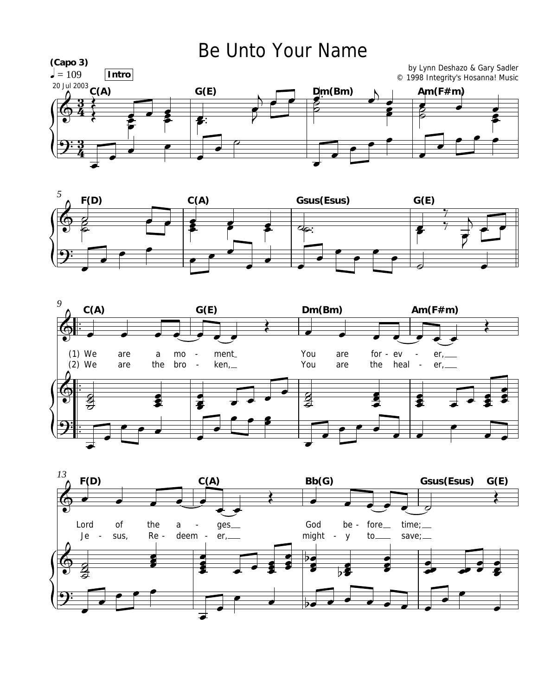## Be Unto Your Name







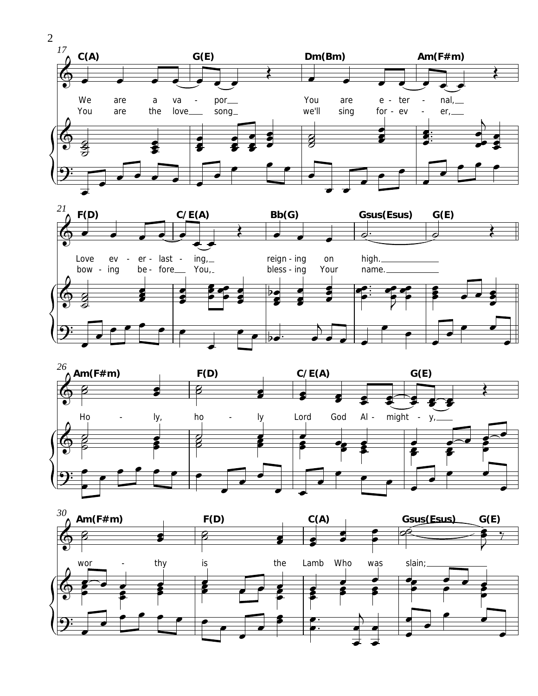







 $\overline{2}$